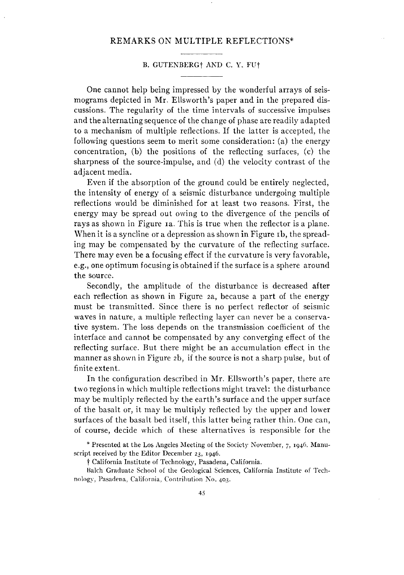## REMARKS ON MULTIPLE REFLECTIONS\*

## B. GUTENBERGt AKD C. Y. FUt

One cannot help being impressed by the wonderful arrays of seismograms depicted in Mr. Ellsworth's paper and in the prepared discussions. The regularity of the time intervals of successive impulses and the alternating sequence of the change of phase are readily adapted to a mechanism of multiple reflections. If the latter is accepted, the following questions seem to merit some consideration: (a) the energy concentration, (b) the positions of the reflecting surfaces, (c) the sharpness of the source-impulse, and (d) the velocity contrast of the adjacent media.

Even if the absorption of the ground could be entirely neglected, the intensity of energy of a seismic disturbance undergoing multiple reflections would be diminished for at least two reasons. First, the energy may be spread out owing to the divergence of the pencils of rays as shown in Figure 1a. This is true when the reflector is a plane. When it is a syncline or a depression as shown in Figure 1b, the spreading may be compensated by the curvature of the reflecting surface. There may even be a focusing effect if the curvature is very favorable, e.g., one optimum focusing is obtained if the surface is a sphere around the source.

Secondly, the amplitude of the disturbance is decreased after each reflection as shown in Figure 2a, because a part of the energy must be transmitted. Since there is no perfect reflector of seismic waves in nature, a multiple reflecting layer can never be a conservative system. The loss depends on the transmission coefficient of the interface and cannot be compensated by any converging effect of the reflecting surface. But there might be an accumulation effect in the manner as shown in Figure 2b, if the source is not a sharp pulse, but of finite extent.

In the configuration described in Mr. Ellsworth's paper, there are two regions in which multiple reflections might travel: the disturbance may be multiply reflected by the earth's surface and the upper surface of the basalt or, it may be multiply reflected by the upper and lower surfaces of the basalt bed itself, this latter being rather thin. One can, of course, decide which of these alternatives is responsible for the

\* Presented at the Los Angeles Meeting of the Society November, 7, 1946. Manuscript received by the Editor December 23, 1946.

t California Institute of Technology, Pasadena, California.

Balch Graduate School of the Geological Sciences, California Institute of Technology, Pasadena, California, Contribution Ko. *403.*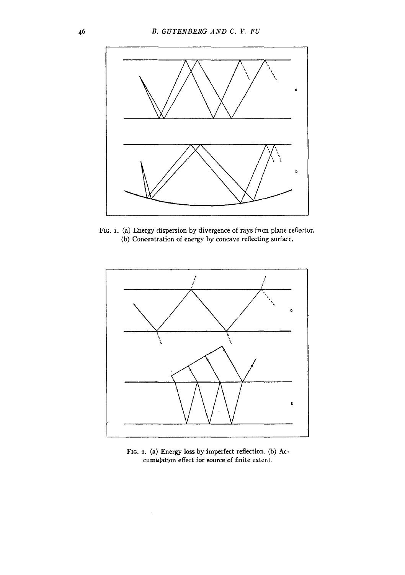

FIG. 1. (a) Energy dispersion by divergence of rays from plane reflector. (b) Concentration of energy by concave reflecting surface.



FIG. 2. (a) Energy loss by imperfect reflection. (b) Accumulation effect for source of finite extent.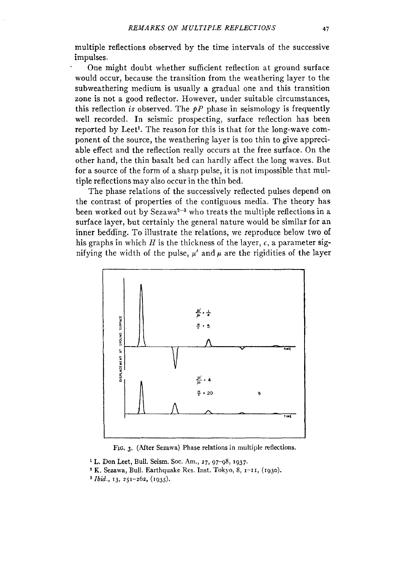multiple reflections observed by the time intervals of the successive impulses.

One might doubt whether sufficient reflection at ground surface would occur, because the transition from the weathering layer to the subweathering medium is usually a gradual one and this transition zone is not a good reflector. However, under suitable circumstances, this reflection *is* observed. The  $pP$  phase in seismology is frequently well recorded. In seismic prospecting, surface reflection has been reported by Leet<sup>1</sup>. The reason for this is that for the long-wave component of the source, the weathering layer is too thin to give appreciable effect and the reflection really occurs at the free surface. On the other hand, the thin basalt bed can hardly affect the long waves. But for a source of the form of a sharp pulse, it is not impossible that multiple reflections may also occur in the thin bed.

The phase relations of the successively reflected pulses depend on the contrast of properties of the contiguous media. The theory has been worked out by Sezawa $^{\mathrm{2-3}}$  who treats the multiple reflections in a surface layer, but certainly the general nature would be similar for an inner bedding. To illustrate the relations, we reproduce below two of his graphs in which  $H$  is the thickness of the layer,  $c$ , a parameter signifying the width of the pulse,  $\mu'$  and  $\mu$  are the rigidities of the layer



FIG. 3. (After Sezawa) Phase relations in multiple reflections.

- <sup>1</sup> L. Don Leet, Bull. Seism. Soc. Am., 27, 97-98, 1937.
- <sup>2</sup> K. Sezawa, Bull. Earthquake Res. Inst. Tokyo, 8,  $1-II$ , (1930).
- 3 *Ibid.,* 13, 251-262, (1935).